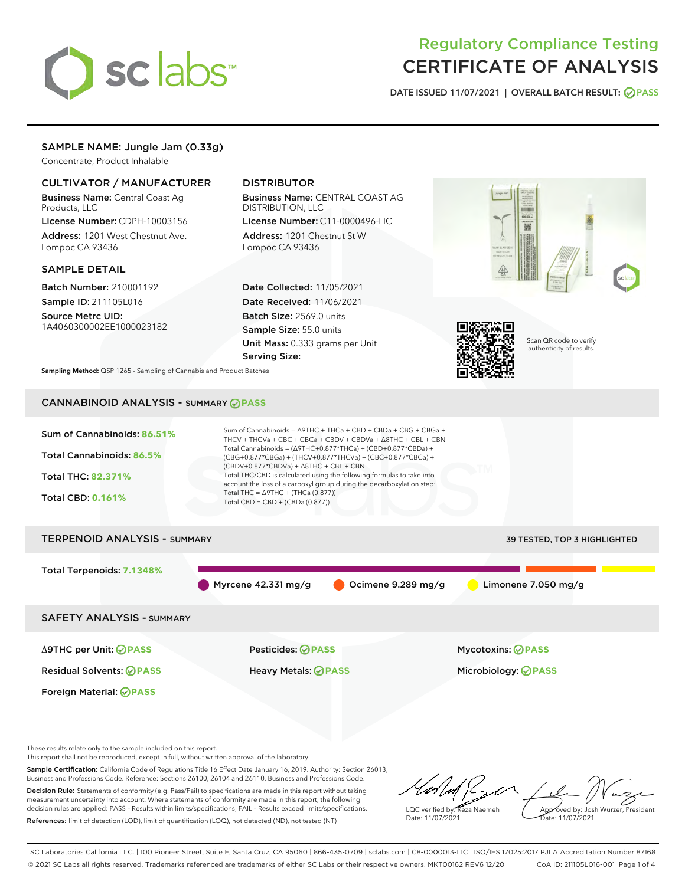# sclabs<sup>\*</sup>

# Regulatory Compliance Testing CERTIFICATE OF ANALYSIS

DATE ISSUED 11/07/2021 | OVERALL BATCH RESULT: @ PASS

# SAMPLE NAME: Jungle Jam (0.33g)

Concentrate, Product Inhalable

# CULTIVATOR / MANUFACTURER

Business Name: Central Coast Ag Products, LLC

License Number: CDPH-10003156 Address: 1201 West Chestnut Ave. Lompoc CA 93436

#### SAMPLE DETAIL

Batch Number: 210001192 Sample ID: 211105L016

Source Metrc UID: 1A4060300002EE1000023182

# DISTRIBUTOR

Business Name: CENTRAL COAST AG DISTRIBUTION, LLC

License Number: C11-0000496-LIC Address: 1201 Chestnut St W Lompoc CA 93436

Date Collected: 11/05/2021 Date Received: 11/06/2021 Batch Size: 2569.0 units Sample Size: 55.0 units Unit Mass: 0.333 grams per Unit Serving Size:





Scan QR code to verify authenticity of results.

Sampling Method: QSP 1265 - Sampling of Cannabis and Product Batches

# CANNABINOID ANALYSIS - SUMMARY **PASS**

| Sum of Cannabinoids: 86.51%<br>Total Cannabinoids: 86.5%<br>Total THC: 82.371%<br><b>Total CBD: 0.161%</b> | Sum of Cannabinoids = $\triangle$ 9THC + THCa + CBD + CBDa + CBG + CBGa +<br>THCV + THCVa + CBC + CBCa + CBDV + CBDVa + $\triangle$ 8THC + CBL + CBN<br>Total Cannabinoids = $(\Delta$ 9THC+0.877*THCa) + (CBD+0.877*CBDa) +<br>(CBG+0.877*CBGa) + (THCV+0.877*THCVa) + (CBC+0.877*CBCa) +<br>$(CBDV+0.877*CBDVa) + \Delta 8THC + CBL + CBN$<br>Total THC/CBD is calculated using the following formulas to take into<br>account the loss of a carboxyl group during the decarboxylation step:<br>Total THC = $\triangle$ 9THC + (THCa (0.877))<br>Total CBD = CBD + (CBDa (0.877)) |                              |  |  |  |  |
|------------------------------------------------------------------------------------------------------------|-------------------------------------------------------------------------------------------------------------------------------------------------------------------------------------------------------------------------------------------------------------------------------------------------------------------------------------------------------------------------------------------------------------------------------------------------------------------------------------------------------------------------------------------------------------------------------------|------------------------------|--|--|--|--|
| <b>TERPENOID ANALYSIS - SUMMARY</b>                                                                        |                                                                                                                                                                                                                                                                                                                                                                                                                                                                                                                                                                                     | 39 TESTED, TOP 3 HIGHLIGHTED |  |  |  |  |
| Total Terpenoids: 7.1348%                                                                                  | Myrcene $42.331$ mg/g<br>Ocimene 9.289 mg/g                                                                                                                                                                                                                                                                                                                                                                                                                                                                                                                                         | Limonene 7.050 mg/g          |  |  |  |  |
| <b>SAFETY ANALYSIS - SUMMARY</b>                                                                           |                                                                                                                                                                                                                                                                                                                                                                                                                                                                                                                                                                                     |                              |  |  |  |  |
| $\triangle$ 9THC per Unit: $\bigcirc$ PASS                                                                 | Pesticides: ⊘PASS                                                                                                                                                                                                                                                                                                                                                                                                                                                                                                                                                                   | Mycotoxins: ⊘PASS            |  |  |  |  |
| <b>Residual Solvents: ⊘PASS</b>                                                                            | Heavy Metals: <b>OPASS</b>                                                                                                                                                                                                                                                                                                                                                                                                                                                                                                                                                          | Microbiology: <b>OPASS</b>   |  |  |  |  |
| Foreign Material: <b>⊘ PASS</b>                                                                            |                                                                                                                                                                                                                                                                                                                                                                                                                                                                                                                                                                                     |                              |  |  |  |  |

These results relate only to the sample included on this report.

This report shall not be reproduced, except in full, without written approval of the laboratory.

Sample Certification: California Code of Regulations Title 16 Effect Date January 16, 2019. Authority: Section 26013, Business and Professions Code. Reference: Sections 26100, 26104 and 26110, Business and Professions Code. Decision Rule: Statements of conformity (e.g. Pass/Fail) to specifications are made in this report without taking

measurement uncertainty into account. Where statements of conformity are made in this report, the following decision rules are applied: PASS – Results within limits/specifications, FAIL – Results exceed limits/specifications. References: limit of detection (LOD), limit of quantification (LOQ), not detected (ND), not tested (NT)

LQC verified by: Reza Naemeh Date: 11/07/2021 Approved by: Josh Wurzer, President Date: 11/07/2021

SC Laboratories California LLC. | 100 Pioneer Street, Suite E, Santa Cruz, CA 95060 | 866-435-0709 | sclabs.com | C8-0000013-LIC | ISO/IES 17025:2017 PJLA Accreditation Number 87168 © 2021 SC Labs all rights reserved. Trademarks referenced are trademarks of either SC Labs or their respective owners. MKT00162 REV6 12/20 CoA ID: 211105L016-001 Page 1 of 4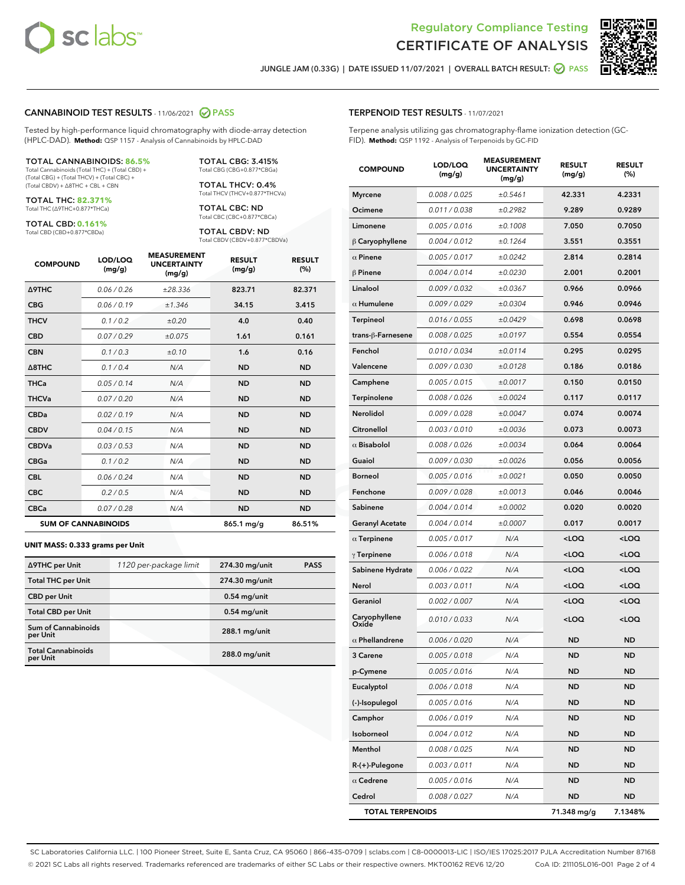



JUNGLE JAM (0.33G) | DATE ISSUED 11/07/2021 | OVERALL BATCH RESULT: @ PASS

#### CANNABINOID TEST RESULTS - 11/06/2021 2 PASS

Tested by high-performance liquid chromatography with diode-array detection (HPLC-DAD). **Method:** QSP 1157 - Analysis of Cannabinoids by HPLC-DAD

#### TOTAL CANNABINOIDS: **86.5%**

Total Cannabinoids (Total THC) + (Total CBD) + (Total CBG) + (Total THCV) + (Total CBC) + (Total CBDV) + ∆8THC + CBL + CBN

TOTAL THC: **82.371%** Total THC (∆9THC+0.877\*THCa)

TOTAL CBD: **0.161%**

Total CBD (CBD+0.877\*CBDa)

TOTAL CBG: 3.415% Total CBG (CBG+0.877\*CBGa)

TOTAL THCV: 0.4% Total THCV (THCV+0.877\*THCVa)

TOTAL CBC: ND Total CBC (CBC+0.877\*CBCa)

TOTAL CBDV: ND Total CBDV (CBDV+0.877\*CBDVa)

| <b>COMPOUND</b>  | LOD/LOQ<br>(mg/g)          | <b>MEASUREMENT</b><br><b>UNCERTAINTY</b><br>(mg/g) | <b>RESULT</b><br>(mg/g) | <b>RESULT</b><br>(%) |
|------------------|----------------------------|----------------------------------------------------|-------------------------|----------------------|
| <b>A9THC</b>     | 0.06 / 0.26                | ±28.336                                            | 823.71                  | 82.371               |
| <b>CBG</b>       | 0.06 / 0.19                | ±1.346                                             | 34.15                   | 3.415                |
| <b>THCV</b>      | 0.1 / 0.2                  | ±0.20                                              | 4.0                     | 0.40                 |
| <b>CBD</b>       | 0.07/0.29                  | ±0.075                                             | 1.61                    | 0.161                |
| <b>CBN</b>       | 0.1 / 0.3                  | $\pm 0.10$                                         | 1.6                     | 0.16                 |
| $\triangle$ 8THC | 0.1 / 0.4                  | N/A                                                | <b>ND</b>               | <b>ND</b>            |
| <b>THCa</b>      | 0.05/0.14                  | N/A                                                | <b>ND</b>               | <b>ND</b>            |
| <b>THCVa</b>     | 0.07/0.20                  | N/A                                                | <b>ND</b>               | <b>ND</b>            |
| <b>CBDa</b>      | 0.02/0.19                  | N/A                                                | <b>ND</b>               | <b>ND</b>            |
| <b>CBDV</b>      | 0.04 / 0.15                | N/A                                                | <b>ND</b>               | <b>ND</b>            |
| <b>CBDVa</b>     | 0.03/0.53                  | N/A                                                | <b>ND</b>               | <b>ND</b>            |
| <b>CBGa</b>      | 0.1/0.2                    | N/A                                                | <b>ND</b>               | <b>ND</b>            |
| <b>CBL</b>       | 0.06 / 0.24                | N/A                                                | <b>ND</b>               | <b>ND</b>            |
| <b>CBC</b>       | 0.2 / 0.5                  | N/A                                                | <b>ND</b>               | <b>ND</b>            |
| <b>CBCa</b>      | 0.07/0.28                  | N/A                                                | <b>ND</b>               | <b>ND</b>            |
|                  | <b>SUM OF CANNABINOIDS</b> |                                                    | 865.1 mg/g              | 86.51%               |

#### **UNIT MASS: 0.333 grams per Unit**

| ∆9THC per Unit                         | 1120 per-package limit | 274.30 mg/unit  | <b>PASS</b> |
|----------------------------------------|------------------------|-----------------|-------------|
| <b>Total THC per Unit</b>              |                        | 274.30 mg/unit  |             |
| <b>CBD per Unit</b>                    |                        | $0.54$ mg/unit  |             |
| <b>Total CBD per Unit</b>              |                        | $0.54$ mg/unit  |             |
| <b>Sum of Cannabinoids</b><br>per Unit |                        | 288.1 mg/unit   |             |
| <b>Total Cannabinoids</b><br>per Unit  |                        | $288.0$ mg/unit |             |

| <b>COMPOUND</b>         | LOD/LOQ<br>(mg/g)    | <b>MEASUREMENT</b><br><b>UNCERTAINTY</b><br>(mq/q) | <b>RESULT</b><br>(mg/g)                         | <b>RESULT</b><br>(%) |
|-------------------------|----------------------|----------------------------------------------------|-------------------------------------------------|----------------------|
| <b>Myrcene</b>          | 0.008 / 0.025        | ±0.5461                                            | 42.331                                          | 4.2331               |
| Ocimene                 | 0.011 / 0.038        | ±0.2982                                            | 9.289                                           | 0.9289               |
| Limonene                | 0.005 / 0.016        | ±0.1008                                            | 7.050                                           | 0.7050               |
| $\beta$ Caryophyllene   | 0.004 / 0.012        | ±0.1264                                            | 3.551                                           | 0.3551               |
| $\alpha$ Pinene         | 0.005 / 0.017        | ±0.0242                                            | 2.814                                           | 0.2814               |
| <b>β Pinene</b>         | 0.004 / 0.014        | ±0.0230                                            | 2.001                                           | 0.2001               |
| Linalool                | 0.009 / 0.032        | ±0.0367                                            | 0.966                                           | 0.0966               |
| $\alpha$ Humulene       | 0.009 / 0.029        | ±0.0304                                            | 0.946                                           | 0.0946               |
| Terpineol               | 0.016 / 0.055        | ±0.0429                                            | 0.698                                           | 0.0698               |
| trans-ß-Farnesene       | 0.008 / 0.025        | ±0.0197                                            | 0.554                                           | 0.0554               |
| Fenchol                 | 0.010 / 0.034        | ±0.0114                                            | 0.295                                           | 0.0295               |
| Valencene               | 0.009 / 0.030        | ±0.0128                                            | 0.186                                           | 0.0186               |
| Camphene                | 0.005 / 0.015        | ±0.0017                                            | 0.150                                           | 0.0150               |
| Terpinolene             | 0.008 / 0.026        | ±0.0024                                            | 0.117                                           | 0.0117               |
| Nerolidol               | 0.009 / 0.028        | ±0.0047                                            | 0.074                                           | 0.0074               |
| Citronellol             | 0.003 / 0.010        | ±0.0036                                            | 0.073                                           | 0.0073               |
| $\alpha$ Bisabolol      | 0.008 / 0.026        | ±0.0034                                            | 0.064                                           | 0.0064               |
| Guaiol                  | <i>0.009 / 0.030</i> | ±0.0026                                            | 0.056                                           | 0.0056               |
| <b>Borneol</b>          | 0.005 / 0.016        | ±0.0021                                            | 0.050                                           | 0.0050               |
| Fenchone                | 0.009 / 0.028        | ±0.0013                                            | 0.046                                           | 0.0046               |
| Sabinene                | 0.004 / 0.014        | ±0.0002                                            | 0.020                                           | 0.0020               |
| <b>Geranyl Acetate</b>  | 0.004 / 0.014        | ±0.0007                                            | 0.017                                           | 0.0017               |
| $\alpha$ Terpinene      | 0.005 / 0.017        | N/A                                                | <loq< th=""><th><loq< th=""></loq<></th></loq<> | <loq< th=""></loq<>  |
| $\gamma$ Terpinene      | 0.006 / 0.018        | N/A                                                | <loq< th=""><th><loq< th=""></loq<></th></loq<> | <loq< th=""></loq<>  |
| Sabinene Hydrate        | 0.006 / 0.022        | N/A                                                | <loq< th=""><th><loq< th=""></loq<></th></loq<> | <loq< th=""></loq<>  |
| Nerol                   | 0.003 / 0.011        | N/A                                                | 100                                             | <loq< th=""></loq<>  |
| Geraniol                | 0.002 / 0.007        | N/A                                                | <loq< th=""><th><loq< th=""></loq<></th></loq<> | <loq< th=""></loq<>  |
| Caryophyllene<br>Oxide  | 0.010 / 0.033        | N/A                                                | <loq< th=""><th><loq< th=""></loq<></th></loq<> | <loq< th=""></loq<>  |
| $\alpha$ Phellandrene   | 0.006 / 0.020        | N/A                                                | <b>ND</b>                                       | ND                   |
| 3 Carene                | 0.005/0.018          | N/A                                                | <b>ND</b>                                       | <b>ND</b>            |
| p-Cymene                | 0.005 / 0.016        | N/A                                                | ND                                              | ND                   |
| Eucalyptol              | 0.006 / 0.018        | N/A                                                | ND                                              | ND                   |
| (-)-Isopulegol          | 0.005 / 0.016        | N/A                                                | ND                                              | ND                   |
| Camphor                 | 0.006 / 0.019        | N/A                                                | ND                                              | ND                   |
| Isoborneol              | 0.004 / 0.012        | N/A                                                | ND                                              | ND                   |
| Menthol                 | 0.008 / 0.025        | N/A                                                | ND                                              | ND                   |
| R-(+)-Pulegone          | 0.003 / 0.011        | N/A                                                | ND                                              | ND                   |
| $\alpha$ Cedrene        | 0.005 / 0.016        | N/A                                                | ND                                              | ND                   |
| Cedrol                  | 0.008 / 0.027        | N/A                                                | ND                                              | ND                   |
| <b>TOTAL TERPENOIDS</b> |                      |                                                    | 71.348 mg/g                                     | 7.1348%              |

SC Laboratories California LLC. | 100 Pioneer Street, Suite E, Santa Cruz, CA 95060 | 866-435-0709 | sclabs.com | C8-0000013-LIC | ISO/IES 17025:2017 PJLA Accreditation Number 87168 © 2021 SC Labs all rights reserved. Trademarks referenced are trademarks of either SC Labs or their respective owners. MKT00162 REV6 12/20 CoA ID: 211105L016-001 Page 2 of 4

## TERPENOID TEST RESULTS - 11/07/2021

Terpene analysis utilizing gas chromatography-flame ionization detection (GC-FID). **Method:** QSP 1192 - Analysis of Terpenoids by GC-FID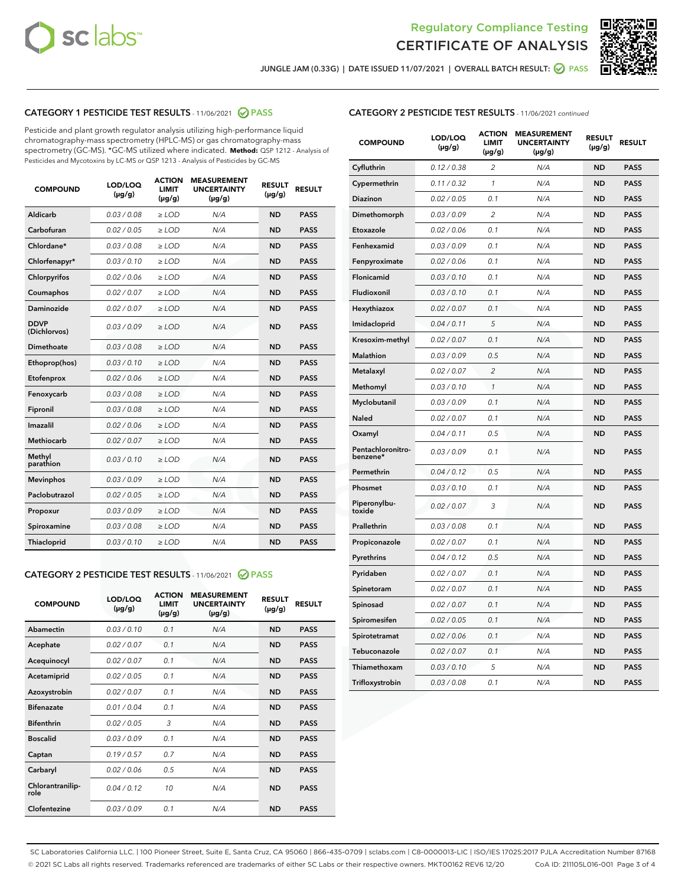



JUNGLE JAM (0.33G) | DATE ISSUED 11/07/2021 | OVERALL BATCH RESULT: 2 PASS

# CATEGORY 1 PESTICIDE TEST RESULTS - 11/06/2021 2 PASS

Pesticide and plant growth regulator analysis utilizing high-performance liquid chromatography-mass spectrometry (HPLC-MS) or gas chromatography-mass spectrometry (GC-MS). \*GC-MS utilized where indicated. **Method:** QSP 1212 - Analysis of Pesticides and Mycotoxins by LC-MS or QSP 1213 - Analysis of Pesticides by GC-MS

| <b>Aldicarb</b><br>0.03 / 0.08<br><b>ND</b><br>$\ge$ LOD<br>N/A<br><b>PASS</b><br>Carbofuran<br>0.02/0.05<br>$\ge$ LOD<br>N/A<br><b>ND</b><br><b>PASS</b><br>Chlordane*<br>0.03 / 0.08<br><b>ND</b><br>$>$ LOD<br>N/A<br><b>PASS</b><br>0.03/0.10<br><b>ND</b><br><b>PASS</b><br>Chlorfenapyr*<br>$\ge$ LOD<br>N/A<br>0.02 / 0.06<br>N/A<br><b>ND</b><br><b>PASS</b><br>Chlorpyrifos<br>$\ge$ LOD<br>0.02 / 0.07<br>N/A<br><b>ND</b><br><b>PASS</b><br>Coumaphos<br>$>$ LOD<br>Daminozide<br>0.02 / 0.07<br>$\ge$ LOD<br>N/A<br><b>ND</b><br><b>PASS</b><br><b>DDVP</b><br>0.03/0.09<br>$\ge$ LOD<br>N/A<br><b>ND</b><br><b>PASS</b><br>(Dichlorvos)<br>Dimethoate<br><b>ND</b><br><b>PASS</b><br>0.03 / 0.08<br>$>$ LOD<br>N/A<br>0.03/0.10<br>Ethoprop(hos)<br>$\ge$ LOD<br>N/A<br><b>ND</b><br><b>PASS</b><br>0.02 / 0.06<br>$\ge$ LOD<br>N/A<br><b>ND</b><br><b>PASS</b><br>Etofenprox<br>Fenoxycarb<br>0.03 / 0.08<br>$>$ LOD<br>N/A<br><b>ND</b><br><b>PASS</b><br>0.03 / 0.08<br><b>ND</b><br><b>PASS</b><br>Fipronil<br>$\ge$ LOD<br>N/A<br>Imazalil<br>0.02 / 0.06<br>$>$ LOD<br>N/A<br><b>ND</b><br><b>PASS</b><br>0.02 / 0.07<br>Methiocarb<br>N/A<br><b>ND</b><br>$>$ LOD<br><b>PASS</b><br>Methyl<br>0.03/0.10<br>$\ge$ LOD<br>N/A<br><b>ND</b><br><b>PASS</b><br>parathion<br>0.03/0.09<br>$\ge$ LOD<br>N/A<br><b>ND</b><br><b>PASS</b><br><b>Mevinphos</b><br>Paclobutrazol<br>0.02 / 0.05<br>$\ge$ LOD<br>N/A<br><b>ND</b><br><b>PASS</b><br>0.03/0.09<br>N/A<br>$\ge$ LOD<br><b>ND</b><br><b>PASS</b><br>Propoxur<br>0.03 / 0.08<br><b>ND</b><br><b>PASS</b><br>Spiroxamine<br>$\ge$ LOD<br>N/A<br><b>PASS</b><br>Thiacloprid<br>0.03/0.10<br>$\ge$ LOD<br>N/A<br><b>ND</b> | <b>COMPOUND</b> | LOD/LOQ<br>$(\mu g/g)$ | <b>ACTION</b><br>LIMIT<br>$(\mu g/g)$ | <b>MEASUREMENT</b><br><b>UNCERTAINTY</b><br>$(\mu g/g)$ | <b>RESULT</b><br>$(\mu g/g)$ | <b>RESULT</b> |
|----------------------------------------------------------------------------------------------------------------------------------------------------------------------------------------------------------------------------------------------------------------------------------------------------------------------------------------------------------------------------------------------------------------------------------------------------------------------------------------------------------------------------------------------------------------------------------------------------------------------------------------------------------------------------------------------------------------------------------------------------------------------------------------------------------------------------------------------------------------------------------------------------------------------------------------------------------------------------------------------------------------------------------------------------------------------------------------------------------------------------------------------------------------------------------------------------------------------------------------------------------------------------------------------------------------------------------------------------------------------------------------------------------------------------------------------------------------------------------------------------------------------------------------------------------------------------------------------------------------------------------------------------------------------------------------------|-----------------|------------------------|---------------------------------------|---------------------------------------------------------|------------------------------|---------------|
|                                                                                                                                                                                                                                                                                                                                                                                                                                                                                                                                                                                                                                                                                                                                                                                                                                                                                                                                                                                                                                                                                                                                                                                                                                                                                                                                                                                                                                                                                                                                                                                                                                                                                              |                 |                        |                                       |                                                         |                              |               |
|                                                                                                                                                                                                                                                                                                                                                                                                                                                                                                                                                                                                                                                                                                                                                                                                                                                                                                                                                                                                                                                                                                                                                                                                                                                                                                                                                                                                                                                                                                                                                                                                                                                                                              |                 |                        |                                       |                                                         |                              |               |
|                                                                                                                                                                                                                                                                                                                                                                                                                                                                                                                                                                                                                                                                                                                                                                                                                                                                                                                                                                                                                                                                                                                                                                                                                                                                                                                                                                                                                                                                                                                                                                                                                                                                                              |                 |                        |                                       |                                                         |                              |               |
|                                                                                                                                                                                                                                                                                                                                                                                                                                                                                                                                                                                                                                                                                                                                                                                                                                                                                                                                                                                                                                                                                                                                                                                                                                                                                                                                                                                                                                                                                                                                                                                                                                                                                              |                 |                        |                                       |                                                         |                              |               |
|                                                                                                                                                                                                                                                                                                                                                                                                                                                                                                                                                                                                                                                                                                                                                                                                                                                                                                                                                                                                                                                                                                                                                                                                                                                                                                                                                                                                                                                                                                                                                                                                                                                                                              |                 |                        |                                       |                                                         |                              |               |
|                                                                                                                                                                                                                                                                                                                                                                                                                                                                                                                                                                                                                                                                                                                                                                                                                                                                                                                                                                                                                                                                                                                                                                                                                                                                                                                                                                                                                                                                                                                                                                                                                                                                                              |                 |                        |                                       |                                                         |                              |               |
|                                                                                                                                                                                                                                                                                                                                                                                                                                                                                                                                                                                                                                                                                                                                                                                                                                                                                                                                                                                                                                                                                                                                                                                                                                                                                                                                                                                                                                                                                                                                                                                                                                                                                              |                 |                        |                                       |                                                         |                              |               |
|                                                                                                                                                                                                                                                                                                                                                                                                                                                                                                                                                                                                                                                                                                                                                                                                                                                                                                                                                                                                                                                                                                                                                                                                                                                                                                                                                                                                                                                                                                                                                                                                                                                                                              |                 |                        |                                       |                                                         |                              |               |
|                                                                                                                                                                                                                                                                                                                                                                                                                                                                                                                                                                                                                                                                                                                                                                                                                                                                                                                                                                                                                                                                                                                                                                                                                                                                                                                                                                                                                                                                                                                                                                                                                                                                                              |                 |                        |                                       |                                                         |                              |               |
|                                                                                                                                                                                                                                                                                                                                                                                                                                                                                                                                                                                                                                                                                                                                                                                                                                                                                                                                                                                                                                                                                                                                                                                                                                                                                                                                                                                                                                                                                                                                                                                                                                                                                              |                 |                        |                                       |                                                         |                              |               |
|                                                                                                                                                                                                                                                                                                                                                                                                                                                                                                                                                                                                                                                                                                                                                                                                                                                                                                                                                                                                                                                                                                                                                                                                                                                                                                                                                                                                                                                                                                                                                                                                                                                                                              |                 |                        |                                       |                                                         |                              |               |
|                                                                                                                                                                                                                                                                                                                                                                                                                                                                                                                                                                                                                                                                                                                                                                                                                                                                                                                                                                                                                                                                                                                                                                                                                                                                                                                                                                                                                                                                                                                                                                                                                                                                                              |                 |                        |                                       |                                                         |                              |               |
|                                                                                                                                                                                                                                                                                                                                                                                                                                                                                                                                                                                                                                                                                                                                                                                                                                                                                                                                                                                                                                                                                                                                                                                                                                                                                                                                                                                                                                                                                                                                                                                                                                                                                              |                 |                        |                                       |                                                         |                              |               |
|                                                                                                                                                                                                                                                                                                                                                                                                                                                                                                                                                                                                                                                                                                                                                                                                                                                                                                                                                                                                                                                                                                                                                                                                                                                                                                                                                                                                                                                                                                                                                                                                                                                                                              |                 |                        |                                       |                                                         |                              |               |
|                                                                                                                                                                                                                                                                                                                                                                                                                                                                                                                                                                                                                                                                                                                                                                                                                                                                                                                                                                                                                                                                                                                                                                                                                                                                                                                                                                                                                                                                                                                                                                                                                                                                                              |                 |                        |                                       |                                                         |                              |               |
|                                                                                                                                                                                                                                                                                                                                                                                                                                                                                                                                                                                                                                                                                                                                                                                                                                                                                                                                                                                                                                                                                                                                                                                                                                                                                                                                                                                                                                                                                                                                                                                                                                                                                              |                 |                        |                                       |                                                         |                              |               |
|                                                                                                                                                                                                                                                                                                                                                                                                                                                                                                                                                                                                                                                                                                                                                                                                                                                                                                                                                                                                                                                                                                                                                                                                                                                                                                                                                                                                                                                                                                                                                                                                                                                                                              |                 |                        |                                       |                                                         |                              |               |
|                                                                                                                                                                                                                                                                                                                                                                                                                                                                                                                                                                                                                                                                                                                                                                                                                                                                                                                                                                                                                                                                                                                                                                                                                                                                                                                                                                                                                                                                                                                                                                                                                                                                                              |                 |                        |                                       |                                                         |                              |               |
|                                                                                                                                                                                                                                                                                                                                                                                                                                                                                                                                                                                                                                                                                                                                                                                                                                                                                                                                                                                                                                                                                                                                                                                                                                                                                                                                                                                                                                                                                                                                                                                                                                                                                              |                 |                        |                                       |                                                         |                              |               |
|                                                                                                                                                                                                                                                                                                                                                                                                                                                                                                                                                                                                                                                                                                                                                                                                                                                                                                                                                                                                                                                                                                                                                                                                                                                                                                                                                                                                                                                                                                                                                                                                                                                                                              |                 |                        |                                       |                                                         |                              |               |
|                                                                                                                                                                                                                                                                                                                                                                                                                                                                                                                                                                                                                                                                                                                                                                                                                                                                                                                                                                                                                                                                                                                                                                                                                                                                                                                                                                                                                                                                                                                                                                                                                                                                                              |                 |                        |                                       |                                                         |                              |               |

#### CATEGORY 2 PESTICIDE TEST RESULTS - 11/06/2021 @ PASS

| <b>COMPOUND</b>          | LOD/LOO<br>$(\mu g/g)$ | <b>ACTION</b><br>LIMIT<br>$(\mu g/g)$ | <b>MEASUREMENT</b><br><b>UNCERTAINTY</b><br>$(\mu g/g)$ | <b>RESULT</b><br>$(\mu g/g)$ | <b>RESULT</b> |  |
|--------------------------|------------------------|---------------------------------------|---------------------------------------------------------|------------------------------|---------------|--|
| Abamectin                | 0.03/0.10              | 0.1                                   | N/A                                                     | <b>ND</b>                    | <b>PASS</b>   |  |
| Acephate                 | 0.02/0.07              | 0.1                                   | N/A                                                     | <b>ND</b>                    | <b>PASS</b>   |  |
| Acequinocyl              | 0.02/0.07              | 0.1                                   | N/A                                                     | <b>ND</b>                    | <b>PASS</b>   |  |
| Acetamiprid              | 0.02/0.05              | 0.1                                   | N/A                                                     | <b>ND</b>                    | <b>PASS</b>   |  |
| Azoxystrobin             | 0.02/0.07              | 0.1                                   | N/A                                                     | <b>ND</b>                    | <b>PASS</b>   |  |
| <b>Bifenazate</b>        | 0.01 / 0.04            | 0.1                                   | N/A                                                     | <b>ND</b>                    | <b>PASS</b>   |  |
| <b>Bifenthrin</b>        | 0.02 / 0.05            | 3                                     | N/A                                                     | <b>ND</b>                    | <b>PASS</b>   |  |
| <b>Boscalid</b>          | 0.03/0.09              | 0.1                                   | N/A                                                     | <b>ND</b>                    | <b>PASS</b>   |  |
| Captan                   | 0.19/0.57              | 07                                    | N/A                                                     | <b>ND</b>                    | <b>PASS</b>   |  |
| Carbaryl                 | 0.02/0.06              | 0.5                                   | N/A                                                     | <b>ND</b>                    | <b>PASS</b>   |  |
| Chlorantranilip-<br>role | 0.04/0.12              | 10                                    | N/A                                                     | <b>ND</b>                    | <b>PASS</b>   |  |
| Clofentezine             | 0 03 / 0 09            | 0 <sub>1</sub>                        | N/A                                                     | <b>ND</b>                    | <b>PASS</b>   |  |

## CATEGORY 2 PESTICIDE TEST RESULTS - 11/06/2021 continued

| <b>COMPOUND</b>               | LOD/LOQ<br>(µg/g) | <b>ACTION</b><br><b>LIMIT</b><br>$(\mu g/g)$ | <b>MEASUREMENT</b><br><b>UNCERTAINTY</b><br>$(\mu g/g)$ | <b>RESULT</b><br>(µg/g) | <b>RESULT</b> |
|-------------------------------|-------------------|----------------------------------------------|---------------------------------------------------------|-------------------------|---------------|
| Cyfluthrin                    | 0.12 / 0.38       | $\overline{c}$                               | N/A                                                     | ND                      | <b>PASS</b>   |
| Cypermethrin                  | 0.11 / 0.32       | $\mathcal{I}$                                | N/A                                                     | ND                      | <b>PASS</b>   |
| Diazinon                      | 0.02 / 0.05       | 0.1                                          | N/A                                                     | <b>ND</b>               | <b>PASS</b>   |
| Dimethomorph                  | 0.03 / 0.09       | $\overline{c}$                               | N/A                                                     | ND                      | <b>PASS</b>   |
| Etoxazole                     | 0.02 / 0.06       | 0.1                                          | N/A                                                     | ND                      | <b>PASS</b>   |
| Fenhexamid                    | 0.03 / 0.09       | 0.1                                          | N/A                                                     | <b>ND</b>               | <b>PASS</b>   |
| Fenpyroximate                 | 0.02 / 0.06       | 0.1                                          | N/A                                                     | ND                      | <b>PASS</b>   |
| Flonicamid                    | 0.03 / 0.10       | 0.1                                          | N/A                                                     | ND                      | <b>PASS</b>   |
| Fludioxonil                   | 0.03 / 0.10       | 0.1                                          | N/A                                                     | ND                      | <b>PASS</b>   |
| Hexythiazox                   | 0.02 / 0.07       | 0.1                                          | N/A                                                     | ND                      | <b>PASS</b>   |
| Imidacloprid                  | 0.04 / 0.11       | 5                                            | N/A                                                     | ND                      | <b>PASS</b>   |
| Kresoxim-methyl               | 0.02 / 0.07       | 0.1                                          | N/A                                                     | ND                      | <b>PASS</b>   |
| <b>Malathion</b>              | 0.03 / 0.09       | 0.5                                          | N/A                                                     | ND                      | <b>PASS</b>   |
| Metalaxyl                     | 0.02 / 0.07       | $\overline{c}$                               | N/A                                                     | ND                      | <b>PASS</b>   |
| Methomyl                      | 0.03 / 0.10       | 1                                            | N/A                                                     | <b>ND</b>               | <b>PASS</b>   |
| Myclobutanil                  | 0.03 / 0.09       | 0.1                                          | N/A                                                     | ND                      | <b>PASS</b>   |
| Naled                         | 0.02 / 0.07       | 0.1                                          | N/A                                                     | ND                      | <b>PASS</b>   |
| Oxamyl                        | 0.04 / 0.11       | 0.5                                          | N/A                                                     | ND                      | <b>PASS</b>   |
| Pentachloronitro-<br>benzene* | 0.03 / 0.09       | 0.1                                          | N/A                                                     | ND                      | <b>PASS</b>   |
| Permethrin                    | 0.04 / 0.12       | 0.5                                          | N/A                                                     | ND                      | <b>PASS</b>   |
| Phosmet                       | 0.03 / 0.10       | 0.1                                          | N/A                                                     | ND                      | <b>PASS</b>   |
| Piperonylbu-<br>toxide        | 0.02 / 0.07       | 3                                            | N/A                                                     | ND                      | <b>PASS</b>   |
| Prallethrin                   | 0.03 / 0.08       | 0.1                                          | N/A                                                     | ND                      | <b>PASS</b>   |
| Propiconazole                 | 0.02 / 0.07       | 0.1                                          | N/A                                                     | ND                      | <b>PASS</b>   |
| Pyrethrins                    | 0.04 / 0.12       | 0.5                                          | N/A                                                     | ND                      | <b>PASS</b>   |
| Pyridaben                     | 0.02 / 0.07       | 0.1                                          | N/A                                                     | ND                      | <b>PASS</b>   |
| Spinetoram                    | 0.02 / 0.07       | 0.1                                          | N/A                                                     | ND                      | <b>PASS</b>   |
| Spinosad                      | 0.02 / 0.07       | 0.1                                          | N/A                                                     | ND                      | <b>PASS</b>   |
| Spiromesifen                  | 0.02 / 0.05       | 0.1                                          | N/A                                                     | <b>ND</b>               | <b>PASS</b>   |
| Spirotetramat                 | 0.02 / 0.06       | 0.1                                          | N/A                                                     | ND                      | <b>PASS</b>   |
| Tebuconazole                  | 0.02 / 0.07       | 0.1                                          | N/A                                                     | ND                      | <b>PASS</b>   |
| Thiamethoxam                  | 0.03 / 0.10       | 5                                            | N/A                                                     | ND                      | <b>PASS</b>   |
| Trifloxystrobin               | 0.03 / 0.08       | 0.1                                          | N/A                                                     | <b>ND</b>               | <b>PASS</b>   |

SC Laboratories California LLC. | 100 Pioneer Street, Suite E, Santa Cruz, CA 95060 | 866-435-0709 | sclabs.com | C8-0000013-LIC | ISO/IES 17025:2017 PJLA Accreditation Number 87168 © 2021 SC Labs all rights reserved. Trademarks referenced are trademarks of either SC Labs or their respective owners. MKT00162 REV6 12/20 CoA ID: 211105L016-001 Page 3 of 4